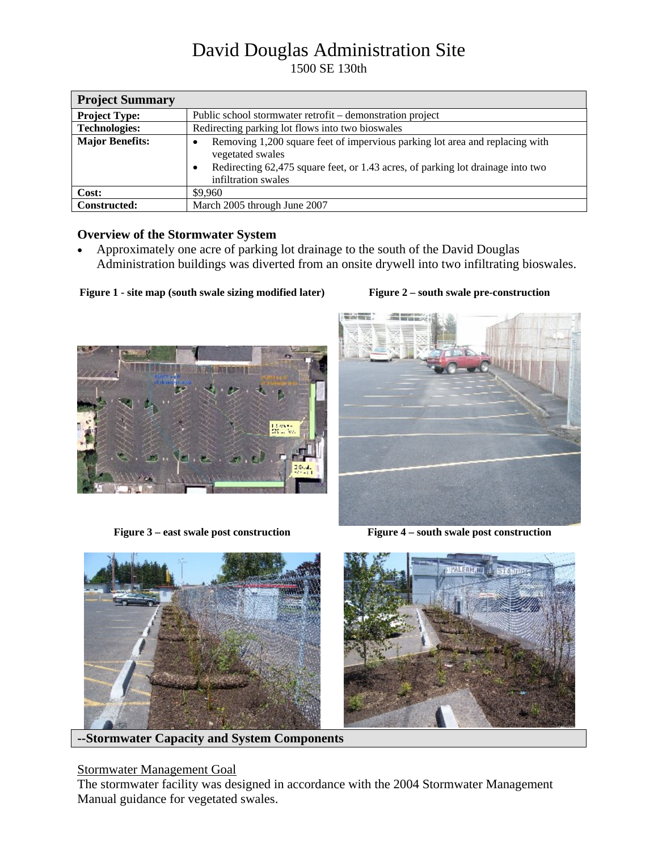# David Douglas Administration Site

1500 SE 130th

| <b>Project Summary</b> |                                                                                                                                                                                                                         |  |  |
|------------------------|-------------------------------------------------------------------------------------------------------------------------------------------------------------------------------------------------------------------------|--|--|
| <b>Project Type:</b>   | Public school stormwater retrofit – demonstration project                                                                                                                                                               |  |  |
| <b>Technologies:</b>   | Redirecting parking lot flows into two bioswales                                                                                                                                                                        |  |  |
| <b>Major Benefits:</b> | Removing 1,200 square feet of impervious parking lot area and replacing with<br>vegetated swales<br>Redirecting 62,475 square feet, or 1.43 acres, of parking lot drainage into two<br>$\bullet$<br>infiltration swales |  |  |
| Cost:                  | \$9,960                                                                                                                                                                                                                 |  |  |
| <b>Constructed:</b>    | March 2005 through June 2007                                                                                                                                                                                            |  |  |

## **Overview of the Stormwater System**

• Approximately one acre of parking lot drainage to the south of the David Douglas Administration buildings was diverted from an onsite drywell into two infiltrating bioswales.

Figure 1 - site map (south swale sizing modified later) Figure 2 – south swale pre-construction





Figure 3 – east swale post construction **Figure 4** – south swale post construction



**--Stormwater Capacity and System Components** 

## Stormwater Management Goal

The stormwater facility was designed in accordance with the 2004 Stormwater Management Manual guidance for vegetated swales.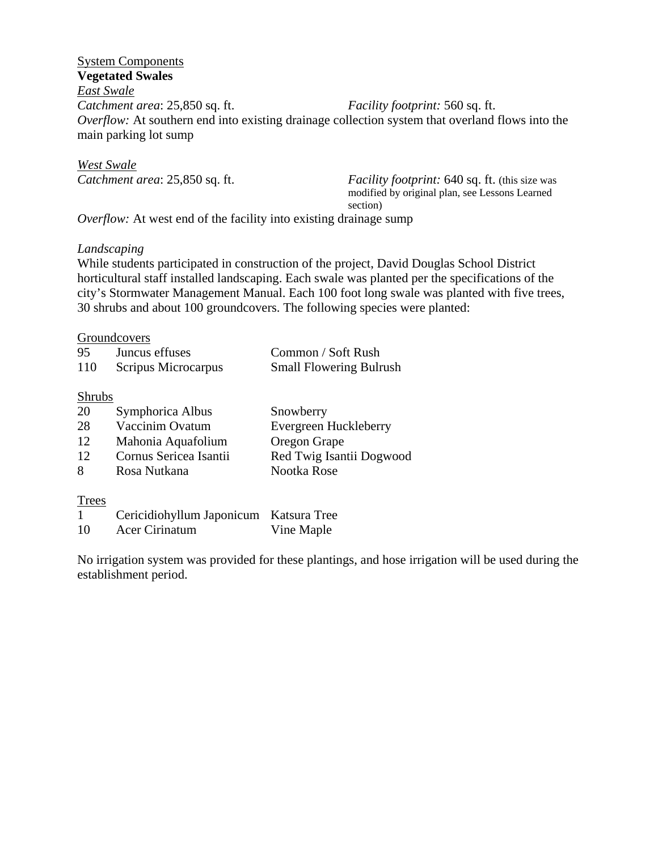## System Components **Vegetated Swales**  *East Swale Catchment area*: 25,850 sq. ft. *Facility footprint:* 560 sq. ft. *Overflow:* At southern end into existing drainage collection system that overland flows into the main parking lot sump

*West Swale*

*Catchment area*: 25,850 sq. ft. *Facility footprint:* 640 sq. ft. (this size was modified by original plan, see Lessons Learned section)

*Overflow:* At west end of the facility into existing drainage sump

## *Landscaping*

While students participated in construction of the project, David Douglas School District horticultural staff installed landscaping. Each swale was planted per the specifications of the city's Stormwater Management Manual. Each 100 foot long swale was planted with five trees, 30 shrubs and about 100 groundcovers. The following species were planted:

#### Groundcovers

| 95  | Juncus effuses      | Common / Soft Rush             |
|-----|---------------------|--------------------------------|
| 110 | Scripus Microcarpus | <b>Small Flowering Bulrush</b> |

#### Shrubs

| 20 | Symphorica Albus       | Snowberry                |
|----|------------------------|--------------------------|
| 28 | Vaccinim Ovatum        | Evergreen Huckleberry    |
| 12 | Mahonia Aquafolium     | Oregon Grape             |
| 12 | Cornus Sericea Isantii | Red Twig Isantii Dogwood |
| 8  | Rosa Nutkana           | Nootka Rose              |

#### **Trees**

|    | Cericidiohyllum Japonicum Katsura Tree |            |
|----|----------------------------------------|------------|
| 10 | Acer Cirinatum                         | Vine Maple |

No irrigation system was provided for these plantings, and hose irrigation will be used during the establishment period.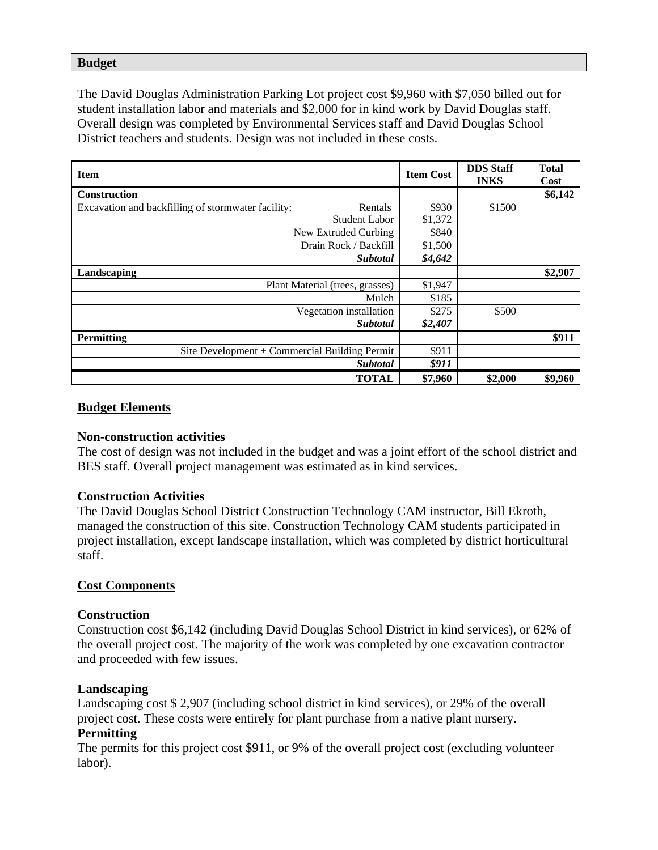#### **Budget**

The David Douglas Administration Parking Lot project cost \$9,960 with \$7,050 billed out for student installation labor and materials and \$2,000 for in kind work by David Douglas staff. Overall design was completed by Environmental Services staff and David Douglas School District teachers and students. Design was not included in these costs.

| <b>Item</b>                                                   |         | <b>DDS Staff</b><br><b>INKS</b> | <b>Total</b><br>Cost |
|---------------------------------------------------------------|---------|---------------------------------|----------------------|
| <b>Construction</b>                                           |         |                                 | \$6,142              |
| Excavation and backfilling of stormwater facility:<br>Rentals | \$930   | \$1500                          |                      |
| <b>Student Labor</b>                                          | \$1,372 |                                 |                      |
| New Extruded Curbing                                          |         |                                 |                      |
| Drain Rock / Backfill                                         |         |                                 |                      |
| <b>Subtotal</b>                                               |         |                                 |                      |
| Landscaping                                                   |         |                                 | \$2,907              |
| Plant Material (trees, grasses)                               | \$1,947 |                                 |                      |
| Mulch                                                         | \$185   |                                 |                      |
| Vegetation installation                                       | \$275   | \$500                           |                      |
| <b>Subtotal</b>                                               | \$2,407 |                                 |                      |
| <b>Permitting</b>                                             |         |                                 | \$911                |
| Site Development + Commercial Building Permit                 | \$911   |                                 |                      |
| <b>Subtotal</b>                                               | \$911   |                                 |                      |
| <b>TOTAL</b>                                                  | \$7,960 | \$2,000                         | \$9,960              |

## **Budget Elements**

### **Non-construction activities**

The cost of design was not included in the budget and was a joint effort of the school district and BES staff. Overall project management was estimated as in kind services.

#### **Construction Activities**

The David Douglas School District Construction Technology CAM instructor, Bill Ekroth, managed the construction of this site. Construction Technology CAM students participated in project installation, except landscape installation, which was completed by district horticultural staff.

#### **Cost Components**

#### **Construction**

Construction cost \$6,142 (including David Douglas School District in kind services), or 62% of the overall project cost. The majority of the work was completed by one excavation contractor and proceeded with few issues.

#### **Landscaping**

Landscaping cost \$ 2,907 (including school district in kind services), or 29% of the overall project cost. These costs were entirely for plant purchase from a native plant nursery.

## **Permitting**

The permits for this project cost \$911, or 9% of the overall project cost (excluding volunteer labor).